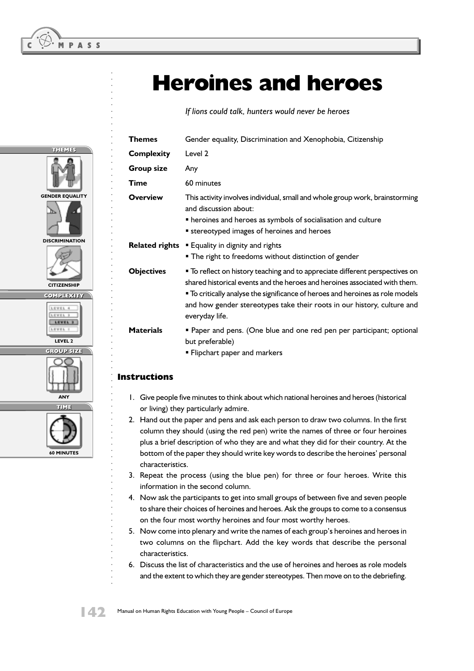# Heroines and heroes

| <b>Heroines and heroes</b> |                                                                                                                                                                                                                                                                                                                                           |  |
|----------------------------|-------------------------------------------------------------------------------------------------------------------------------------------------------------------------------------------------------------------------------------------------------------------------------------------------------------------------------------------|--|
|                            | If lions could talk, hunters would never be heroes                                                                                                                                                                                                                                                                                        |  |
| <b>Themes</b>              | Gender equality, Discrimination and Xenophobia, Citizenship                                                                                                                                                                                                                                                                               |  |
| <b>Complexity</b>          | Level 2                                                                                                                                                                                                                                                                                                                                   |  |
| <b>Group size</b>          | Any                                                                                                                                                                                                                                                                                                                                       |  |
| <b>Time</b>                | 60 minutes                                                                                                                                                                                                                                                                                                                                |  |
| <b>Overview</b>            | This activity involves individual, small and whole group work, brainstorming<br>and discussion about:<br>• heroines and heroes as symbols of socialisation and culture<br><b>stereotyped images of heroines and heroes</b>                                                                                                                |  |
|                            | <b>Related rights E</b> quality in dignity and rights<br>" The right to freedoms without distinction of gender                                                                                                                                                                                                                            |  |
| <b>Objectives</b>          | " To reflect on history teaching and to appreciate different perspectives on<br>shared historical events and the heroes and heroines associated with them.<br>" To critically analyse the significance of heroes and heroines as role models<br>and how gender stereotypes take their roots in our history, culture and<br>everyday life. |  |
| <b>Materials</b>           | " Paper and pens. (One blue and one red pen per participant; optional<br>but preferable)<br><b>Flipchart paper and markers</b>                                                                                                                                                                                                            |  |
| <b>Instructions</b>        |                                                                                                                                                                                                                                                                                                                                           |  |
|                            | 1. Give people five minutes to think about which national heroines and heroes (historical<br>or living) they particularly admire.                                                                                                                                                                                                         |  |
|                            | 2. Hand out the paper and pens and ask each person to draw two columns. In the first<br>column they should (using the red pen) write the names of three or four heroines                                                                                                                                                                  |  |

# Instructions

- 1. Give people five minutes to think about which national heroines and heroes (historical or living) they particularly admire.
- 2. Hand out the paper and pens and ask each person to draw two columns. In the first column they should (using the red pen) write the names of three or four heroines plus a brief description of who they are and what they did for their country. At the bottom of the paper they should write key words to describe the heroines' personal characteristics.
- 3. Repeat the process (using the blue pen) for three or four heroes. Write this information in the second column.
- 4. Now ask the participants to get into small groups of between five and seven people to share their choices of heroines and heroes. Ask the groups to come to a consensus on the four most worthy heroines and four most worthy heroes.
- 5. Now come into plenary and write the names of each group's heroines and heroes in two columns on the flipchart. Add the key words that describe the personal characteristics.
- 6. Discuss the list of characteristics and the use of heroines and heroes as role models and the extent to which they are gender stereotypes. Then move on to the debriefing.



THEMES

MPASS

**DISCRIMINATION** 

GENDER EQUALITY



aaaaaaaaaaaaaaaaaaaaaaaa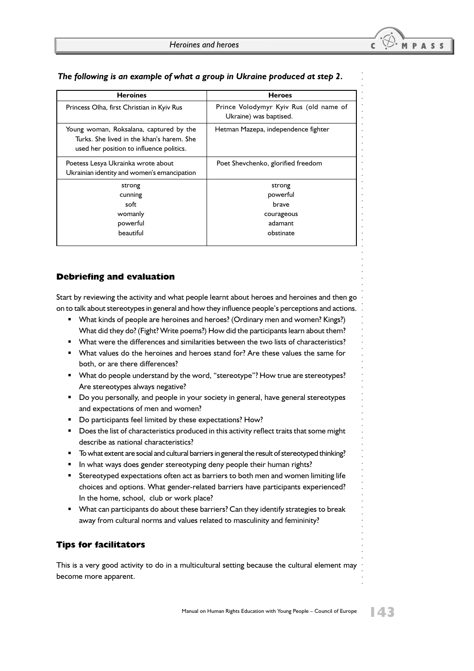# The following is an example of what a group in Ukraine produced at step 2.

| <b>Heroines</b>                                                                                                                                                                                                                                                                                                                                                                                                   | <b>Heroes</b>                                                                                                                                                                                                                                                                                                                                                                                                                                                                                                                                                                                                                                                                                                                                                                                                                                                                                                                                                                                                                                                                                |
|-------------------------------------------------------------------------------------------------------------------------------------------------------------------------------------------------------------------------------------------------------------------------------------------------------------------------------------------------------------------------------------------------------------------|----------------------------------------------------------------------------------------------------------------------------------------------------------------------------------------------------------------------------------------------------------------------------------------------------------------------------------------------------------------------------------------------------------------------------------------------------------------------------------------------------------------------------------------------------------------------------------------------------------------------------------------------------------------------------------------------------------------------------------------------------------------------------------------------------------------------------------------------------------------------------------------------------------------------------------------------------------------------------------------------------------------------------------------------------------------------------------------------|
| Princess Olha, first Christian in Kyiv Rus                                                                                                                                                                                                                                                                                                                                                                        | Prince Volodymyr Kyiv Rus (old name of<br>Ukraine) was baptised.                                                                                                                                                                                                                                                                                                                                                                                                                                                                                                                                                                                                                                                                                                                                                                                                                                                                                                                                                                                                                             |
| Young woman, Roksalana, captured by the<br>Turks. She lived in the khan's harem. She<br>used her position to influence politics.                                                                                                                                                                                                                                                                                  | Hetman Mazepa, independence fighter                                                                                                                                                                                                                                                                                                                                                                                                                                                                                                                                                                                                                                                                                                                                                                                                                                                                                                                                                                                                                                                          |
| Poetess Lesya Ukrainka wrote about<br>Ukrainian identity and women's emancipation                                                                                                                                                                                                                                                                                                                                 | Poet Shevchenko, glorified freedom                                                                                                                                                                                                                                                                                                                                                                                                                                                                                                                                                                                                                                                                                                                                                                                                                                                                                                                                                                                                                                                           |
| strong<br>cunning<br>soft<br>womanly<br>powerful<br>beautiful                                                                                                                                                                                                                                                                                                                                                     | strong<br>powerful<br>brave<br>courageous<br>adamant<br>obstinate                                                                                                                                                                                                                                                                                                                                                                                                                                                                                                                                                                                                                                                                                                                                                                                                                                                                                                                                                                                                                            |
| <b>Debriefing and evaluation</b>                                                                                                                                                                                                                                                                                                                                                                                  |                                                                                                                                                                                                                                                                                                                                                                                                                                                                                                                                                                                                                                                                                                                                                                                                                                                                                                                                                                                                                                                                                              |
| both, or are there differences?<br>Are stereotypes always negative?<br>and expectations of men and women?<br>Do participants feel limited by these expectations? How?<br>describe as national characteristics?<br>In what ways does gender stereotyping deny people their human rights?<br>In the home, school, club or work place?<br>away from cultural norms and values related to masculinity and femininity? | on to talk about stereotypes in general and how they influence people's perceptions and actions.<br>What kinds of people are heroines and heroes? (Ordinary men and women? Kings?)<br>What did they do? (Fight? Write poems?) How did the participants learn about them?<br>What were the differences and similarities between the two lists of characteristics?<br>What values do the heroines and heroes stand for? Are these values the same for<br>What do people understand by the word, "stereotype"? How true are stereotypes?<br>Do you personally, and people in your society in general, have general stereotypes<br>Does the list of characteristics produced in this activity reflect traits that some might<br>To what extent are social and cultural barriers in general the result of stereotyped thinking?<br>Stereotyped expectations often act as barriers to both men and women limiting life<br>choices and options. What gender-related barriers have participants experienced?<br>What can participants do about these barriers? Can they identify strategies to break |
| <b>Tips for facilitators</b><br>become more apparent.                                                                                                                                                                                                                                                                                                                                                             | This is a very good activity to do in a multicultural setting because the cultural element may                                                                                                                                                                                                                                                                                                                                                                                                                                                                                                                                                                                                                                                                                                                                                                                                                                                                                                                                                                                               |
|                                                                                                                                                                                                                                                                                                                                                                                                                   | Manual on Human Rights Education with Young People - Council of Europe                                                                                                                                                                                                                                                                                                                                                                                                                                                                                                                                                                                                                                                                                                                                                                                                                                                                                                                                                                                                                       |

# Debriefing and evaluation

- § What kinds of people are heroines and heroes? (Ordinary men and women? Kings?) What did they do? (Fight? Write poems?) How did the participants learn about them?
- What were the differences and similarities between the two lists of characteristics?
- § What values do the heroines and heroes stand for? Are these values the same for both, or are there differences?
- What do people understand by the word, "stereotype"? How true are stereotypes? Are stereotypes always negative?
- § Do you personally, and people in your society in general, have general stereotypes and expectations of men and women?
- Do participants feel limited by these expectations? How?
- Does the list of characteristics produced in this activity reflect traits that some might describe as national characteristics?
- **•** To what extent are social and cultural barriers in general the result of stereotyped thinking?
- **I** In what ways does gender stereotyping deny people their human rights?
- Stereotyped expectations often act as barriers to both men and women limiting life choices and options. What gender-related barriers have participants experienced? In the home, school, club or work place?
- What can participants do about these barriers? Can they identify strategies to break away from cultural norms and values related to masculinity and femininity?

# Tips for facilitators